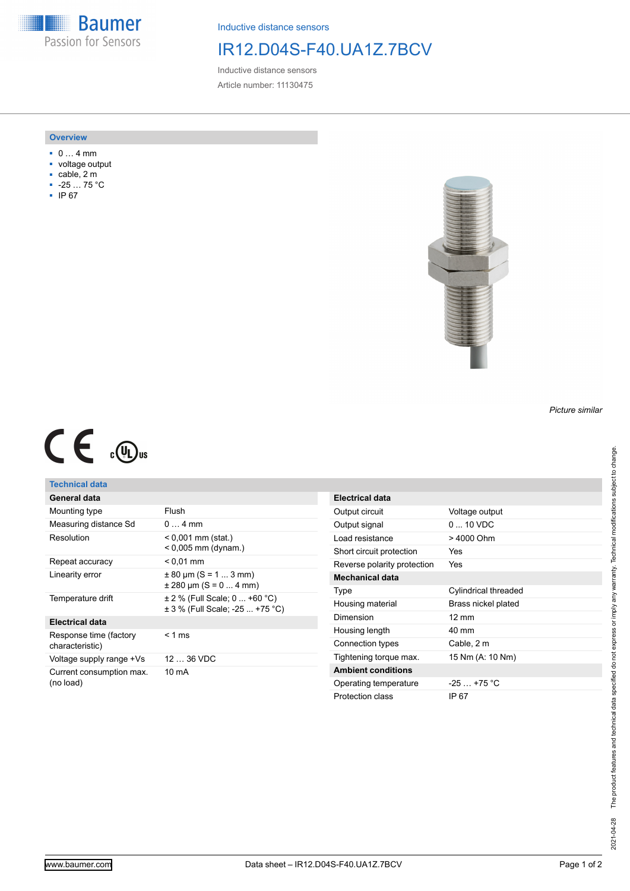**Baumer** Passion for Sensors

Inductive distance sensors

## IR12.D04S-F40.UA1Z.7BCV

Inductive distance sensors Article number: 11130475

#### **Overview**

- 0 … 4 mm
- voltage output
- cable, 2 m
- -25 … 75 °C
- IP 67



# $C \in \mathbb{C}$

### **Technical data**

| General data                              |                                                                      |
|-------------------------------------------|----------------------------------------------------------------------|
| Mounting type                             | Flush                                                                |
| Measuring distance Sd                     | $04$ mm                                                              |
| Resolution                                | $< 0,001$ mm (stat.)<br>$< 0.005$ mm (dynam.)                        |
| Repeat accuracy                           | $< 0.01$ mm                                                          |
| Linearity error                           | $\pm$ 80 µm (S = 1  3 mm)<br>$\pm$ 280 µm (S = 0  4 mm)              |
| Temperature drift                         | $\pm$ 2 % (Full Scale; 0  +60 °C)<br>± 3 % (Full Scale: -25  +75 °C) |
| <b>Electrical data</b>                    |                                                                      |
| Response time (factory<br>characteristic) | $< 1$ ms                                                             |
| Voltage supply range +Vs                  | 12  36 VDC                                                           |
| Current consumption max.<br>(no load)     | 10 mA                                                                |

| <b>Electrical data</b>      |                          |
|-----------------------------|--------------------------|
| Output circuit              | Voltage output           |
| Output signal               | $0 \dots 10 \text{ VDC}$ |
| Load resistance             | > 4000 Ohm               |
| Short circuit protection    | Yes                      |
| Reverse polarity protection | Yes                      |
| <b>Mechanical data</b>      |                          |
| Type                        | Cylindrical threaded     |
| Housing material            | Brass nickel plated      |
| Dimension                   | $12 \text{ mm}$          |
| Housing length              | 40 mm                    |
| Connection types            | Cable, 2 m               |
| Tightening torque max.      | 15 Nm (A: 10 Nm)         |
| <b>Ambient conditions</b>   |                          |
| Operating temperature       | $-25$ +75 °C             |
| Protection class            | IP 67                    |

*Picture similar*